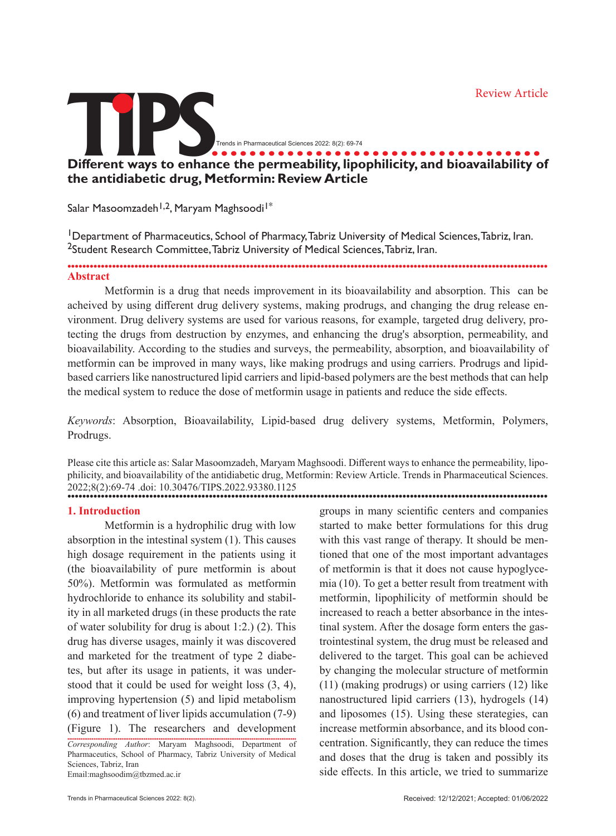Review Article

# **TIPS................................... Different ways to enhance the permeability, lipophilicity, and bioavailability of the antidiabetic drug, Metformin: Review Article** Trends in Pharmaceutical Sciences 2022: 8(2): 69-74

Salar Masoomzadeh<sup>1,2</sup>, Maryam Maghsoodi<sup>1\*</sup>

<sup>1</sup>Department of Pharmaceutics, School of Pharmacy, Tabriz University of Medical Sciences, Tabriz, Iran. <sup>2</sup>Student Research Committee, Tabriz University of Medical Sciences, Tabriz, Iran.

## ................................................................................................................................. **Abstract**

Metformin is a drug that needs improvement in its bioavailability and absorption. This can be acheived by using different drug delivery systems, making prodrugs, and changing the drug release environment. Drug delivery systems are used for various reasons, for example, targeted drug delivery, protecting the drugs from destruction by enzymes, and enhancing the drug's absorption, permeability, and bioavailability. According to the studies and surveys, the permeability, absorption, and bioavailability of metformin can be improved in many ways, like making prodrugs and using carriers. Prodrugs and lipidbased carriers like nanostructured lipid carriers and lipid-based polymers are the best methods that can help the medical system to reduce the dose of metformin usage in patients and reduce the side effects.

*Keywords*: Absorption, Bioavailability, Lipid-based drug delivery systems, Metformin, Polymers, Prodrugs.

Please cite this article as: Salar Masoomzadeh, Maryam Maghsoodi. Different ways to enhance the permeability, lipophilicity, and bioavailability of the antidiabetic drug, Metformin: Review Article. Trends in Pharmaceutical Sciences. 2022;8(2):69-74 .doi: 10.30476/TIPS.2022.93380.1125 .................................................................................................................................

#### **1. Introduction**

Metformin is a hydrophilic drug with low absorption in the intestinal system (1). This causes high dosage requirement in the patients using it (the bioavailability of pure metformin is about 50%). Metformin was formulated as metformin hydrochloride to enhance its solubility and stability in all marketed drugs (in these products the rate of water solubility for drug is about 1:2.) (2). This drug has diverse usages, mainly it was discovered and marketed for the treatment of type 2 diabetes, but after its usage in patients, it was understood that it could be used for weight loss (3, 4), improving hypertension (5) and lipid metabolism (6) and treatment of liver lipids accumulation (7-9) (Figure 1). The researchers and development

........................................................................................................................... *Corresponding Author*: Maryam Maghsoodi, Department of Pharmaceutics, School of Pharmacy, Tabriz University of Medical Sciences, Tabriz, Iran Email:maghsoodim@tbzmed.ac.ir

groups in many scientific centers and companies started to make better formulations for this drug with this vast range of therapy. It should be mentioned that one of the most important advantages of metformin is that it does not cause hypoglycemia (10). To get a better result from treatment with metformin, lipophilicity of metformin should be increased to reach a better absorbance in the intestinal system. After the dosage form enters the gastrointestinal system, the drug must be released and delivered to the target. This goal can be achieved by changing the molecular structure of metformin (11) (making prodrugs) or using carriers (12) like nanostructured lipid carriers (13), hydrogels (14) and liposomes (15). Using these sterategies, can increase metformin absorbance, and its blood concentration. Significantly, they can reduce the times and doses that the drug is taken and possibly its side effects. In this article, we tried to summarize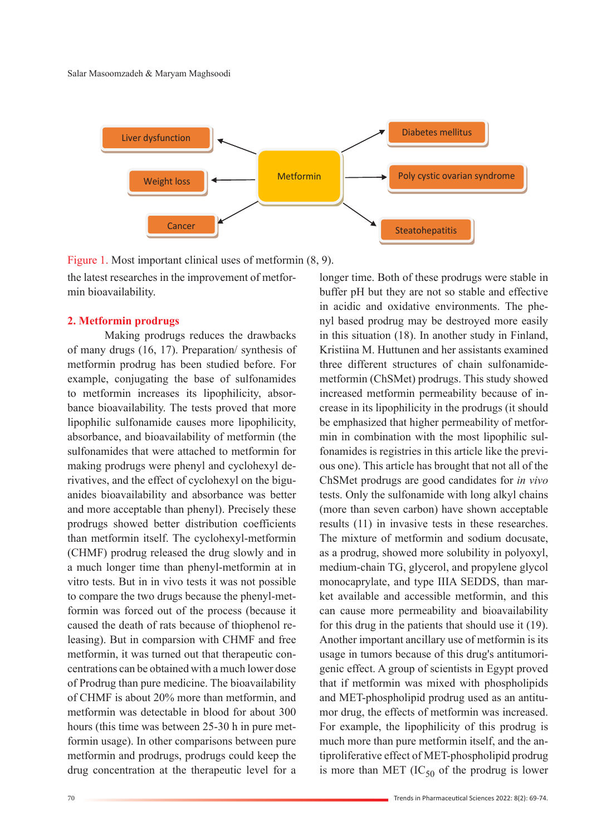

longer time. Both of these prodrugs were stable in buffer pH but they are not so stable and effective in acidic and oxidative environments. The phenyl based prodrug may be destroyed more easily in this situation (18). In another study in Finland, Kristiina M. Huttunen and her assistants examined three different structures of chain sulfonamidemetformin (ChSMet) prodrugs. This study showed increased metformin permeability because of increase in its lipophilicity in the prodrugs (it should be emphasized that higher permeability of metformin in combination with the most lipophilic sulfonamides is registries in this article like the previous one). This article has brought that not all of the ChSMet prodrugs are good candidates for *in vivo*  tests. Only the sulfonamide with long alkyl chains (more than seven carbon) have shown acceptable

Figure 1. Most important clinical uses of metformin (8, 9).

the latest researches in the improvement of metformin bioavailability.

#### **2. Metformin prodrugs**

Making prodrugs reduces the drawbacks of many drugs (16, 17). Preparation/ synthesis of metformin prodrug has been studied before. For example, conjugating the base of sulfonamides to metformin increases its lipophilicity, absorbance bioavailability. The tests proved that more lipophilic sulfonamide causes more lipophilicity, absorbance, and bioavailability of metformin (the sulfonamides that were attached to metformin for making prodrugs were phenyl and cyclohexyl derivatives, and the effect of cyclohexyl on the biguanides bioavailability and absorbance was better and more acceptable than phenyl). Precisely these prodrugs showed better distribution coefficients than metformin itself. The cyclohexyl-metformin (CHMF) prodrug released the drug slowly and in a much longer time than phenyl-metformin at in vitro tests. But in in vivo tests it was not possible to compare the two drugs because the phenyl-metformin was forced out of the process (because it caused the death of rats because of thiophenol releasing). But in comparsion with CHMF and free metformin, it was turned out that therapeutic concentrations can be obtained with a much lower dose of Prodrug than pure medicine. The bioavailability of CHMF is about 20% more than metformin, and metformin was detectable in blood for about 300 hours (this time was between 25-30 h in pure metformin usage). In other comparisons between pure metformin and prodrugs, prodrugs could keep the drug concentration at the therapeutic level for a

results (11) in invasive tests in these researches. The mixture of metformin and sodium docusate, as a prodrug, showed more solubility in polyoxyl, medium-chain TG, glycerol, and propylene glycol monocaprylate, and type IIIA SEDDS, than market available and accessible metformin, and this can cause more permeability and bioavailability for this drug in the patients that should use it (19). Another important ancillary use of metformin is its usage in tumors because of this drug's antitumorigenic effect. A group of scientists in Egypt proved that if metformin was mixed with phospholipids and MET-phospholipid prodrug used as an antitumor drug, the effects of metformin was increased. For example, the lipophilicity of this prodrug is much more than pure metformin itself, and the antiproliferative effect of MET-phospholipid prodrug is more than MET  $(IC_{50}$  of the prodrug is lower

70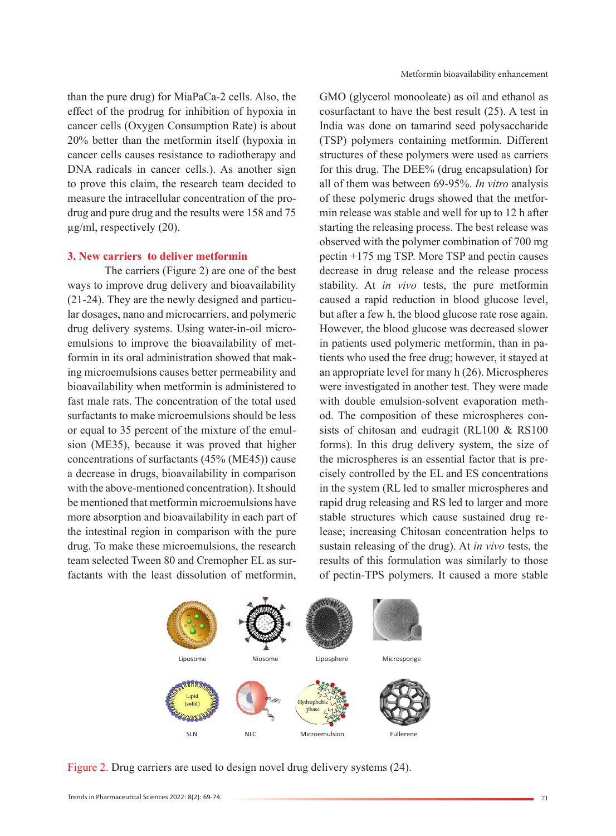than the pure drug) for MiaPaCa-2 cells. Also, the effect of the prodrug for inhibition of hypoxia in cancer cells (Oxygen Consumption Rate) is about 20% better than the metformin itself (hypoxia in cancer cells causes resistance to radiotherapy and DNA radicals in cancer cells.). As another sign to prove this claim, the research team decided to measure the intracellular concentration of the prodrug and pure drug and the results were 158 and 75 µg/ml, respectively (20).

#### **3. New carriers to deliver metformin**

The carriers (Figure 2) are one of the best ways to improve drug delivery and bioavailability (21-24). They are the newly designed and particular dosages, nano and microcarriers, and polymeric drug delivery systems. Using water-in-oil microemulsions to improve the bioavailability of metformin in its oral administration showed that making microemulsions causes better permeability and bioavailability when metformin is administered to fast male rats. The concentration of the total used surfactants to make microemulsions should be less or equal to 35 percent of the mixture of the emulsion (ME35), because it was proved that higher concentrations of surfactants (45% (ME45)) cause a decrease in drugs, bioavailability in comparison with the above-mentioned concentration). It should be mentioned that metformin microemulsions have more absorption and bioavailability in each part of the intestinal region in comparison with the pure drug. To make these microemulsions, the research team selected Tween 80 and Cremopher EL as surfactants with the least dissolution of metformin,

GMO (glycerol monooleate) as oil and ethanol as cosurfactant to have the best result (25). A test in India was done on tamarind seed polysaccharide (TSP) polymers containing metformin. Different structures of these polymers were used as carriers for this drug. The DEE% (drug encapsulation) for all of them was between 69-95%. *In vitro* analysis of these polymeric drugs showed that the metformin release was stable and well for up to 12 h after starting the releasing process. The best release was observed with the polymer combination of 700 mg pectin +175 mg TSP. More TSP and pectin causes decrease in drug release and the release process stability. At *in vivo* tests, the pure metformin caused a rapid reduction in blood glucose level, but after a few h, the blood glucose rate rose again. However, the blood glucose was decreased slower in patients used polymeric metformin, than in patients who used the free drug; however, it stayed at an appropriate level for many h (26). Microspheres were investigated in another test. They were made with double emulsion-solvent evaporation method. The composition of these microspheres consists of chitosan and eudragit (RL100 & RS100 forms). In this drug delivery system, the size of the microspheres is an essential factor that is precisely controlled by the EL and ES concentrations in the system (RL led to smaller microspheres and rapid drug releasing and RS led to larger and more stable structures which cause sustained drug release; increasing Chitosan concentration helps to sustain releasing of the drug). At *in vivo* tests, the results of this formulation was similarly to those of pectin-TPS polymers. It caused a more stable



Figure 2. Drug carriers are used to design novel drug delivery systems (24).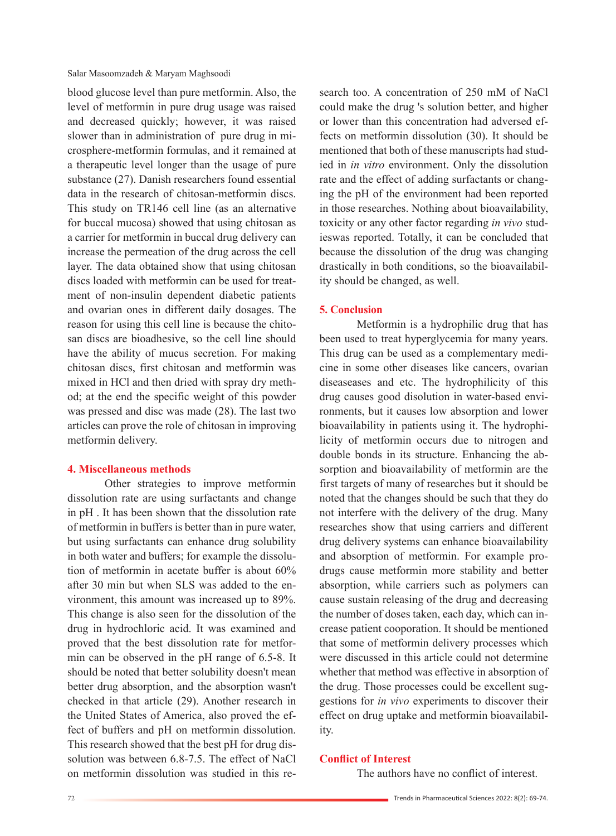Salar Masoomzadeh & Maryam Maghsoodi

blood glucose level than pure metformin. Also, the level of metformin in pure drug usage was raised and decreased quickly; however, it was raised slower than in administration of pure drug in microsphere-metformin formulas, and it remained at a therapeutic level longer than the usage of pure substance (27). Danish researchers found essential data in the research of chitosan-metformin discs. This study on TR146 cell line (as an alternative for buccal mucosa) showed that using chitosan as a carrier for metformin in buccal drug delivery can increase the permeation of the drug across the cell layer. The data obtained show that using chitosan discs loaded with metformin can be used for treatment of non-insulin dependent diabetic patients and ovarian ones in different daily dosages. The reason for using this cell line is because the chitosan discs are bioadhesive, so the cell line should have the ability of mucus secretion. For making chitosan discs, first chitosan and metformin was mixed in HCl and then dried with spray dry method; at the end the specific weight of this powder was pressed and disc was made (28). The last two articles can prove the role of chitosan in improving metformin delivery.

#### **4. Miscellaneous methods**

Other strategies to improve metformin dissolution rate are using surfactants and change in pH . It has been shown that the dissolution rate of metformin in buffers is better than in pure water, but using surfactants can enhance drug solubility in both water and buffers; for example the dissolution of metformin in acetate buffer is about 60% after 30 min but when SLS was added to the environment, this amount was increased up to 89%. This change is also seen for the dissolution of the drug in hydrochloric acid. It was examined and proved that the best dissolution rate for metformin can be observed in the pH range of 6.5-8. It should be noted that better solubility doesn't mean better drug absorption, and the absorption wasn't checked in that article (29). Another research in the United States of America, also proved the effect of buffers and pH on metformin dissolution. This research showed that the best pH for drug dissolution was between 6.8-7.5. The effect of NaCl on metformin dissolution was studied in this research too. A concentration of 250 mM of NaCl could make the drug 's solution better, and higher or lower than this concentration had adversed effects on metformin dissolution (30). It should be mentioned that both of these manuscripts had studied in *in vitro* environment. Only the dissolution rate and the effect of adding surfactants or changing the pH of the environment had been reported in those researches. Nothing about bioavailability, toxicity or any other factor regarding *in vivo* studieswas reported. Totally, it can be concluded that because the dissolution of the drug was changing drastically in both conditions, so the bioavailability should be changed, as well.

#### **5. Conclusion**

Metformin is a hydrophilic drug that has been used to treat hyperglycemia for many years. This drug can be used as a complementary medicine in some other diseases like cancers, ovarian diseaseases and etc. The hydrophilicity of this drug causes good disolution in water-based environments, but it causes low absorption and lower bioavailability in patients using it. The hydrophilicity of metformin occurs due to nitrogen and double bonds in its structure. Enhancing the absorption and bioavailability of metformin are the first targets of many of researches but it should be noted that the changes should be such that they do not interfere with the delivery of the drug. Many researches show that using carriers and different drug delivery systems can enhance bioavailability and absorption of metformin. For example prodrugs cause metformin more stability and better absorption, while carriers such as polymers can cause sustain releasing of the drug and decreasing the number of doses taken, each day, which can increase patient cooporation. It should be mentioned that some of metformin delivery processes which were discussed in this article could not determine whether that method was effective in absorption of the drug. Those processes could be excellent suggestions for *in vivo* experiments to discover their effect on drug uptake and metformin bioavailability.

#### **Conflict of Interest**

The authors have no conflict of interest.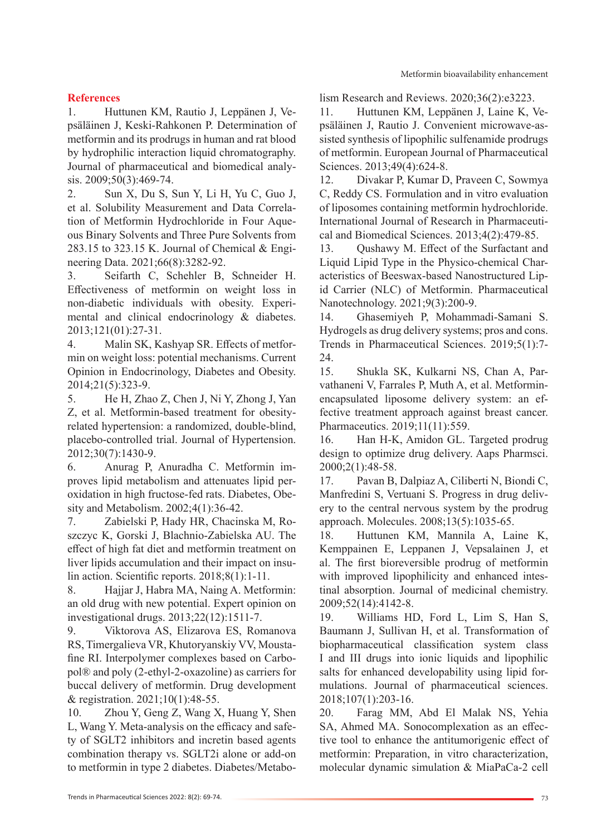## Metformin bioavailability enhancement

# **References**

1. Huttunen KM, Rautio J, Leppänen J, Vepsäläinen J, Keski-Rahkonen P. Determination of metformin and its prodrugs in human and rat blood by hydrophilic interaction liquid chromatography. Journal of pharmaceutical and biomedical analysis. 2009;50(3):469-74.

2. Sun X, Du S, Sun Y, Li H, Yu C, Guo J, et al. Solubility Measurement and Data Correlation of Metformin Hydrochloride in Four Aqueous Binary Solvents and Three Pure Solvents from 283.15 to 323.15 K. Journal of Chemical & Engineering Data. 2021;66(8):3282-92.

3. Seifarth C, Schehler B, Schneider H. Effectiveness of metformin on weight loss in non-diabetic individuals with obesity. Experimental and clinical endocrinology & diabetes. 2013;121(01):27-31.

4. Malin SK, Kashyap SR. Effects of metformin on weight loss: potential mechanisms. Current Opinion in Endocrinology, Diabetes and Obesity. 2014;21(5):323-9.

5. He H, Zhao Z, Chen J, Ni Y, Zhong J, Yan Z, et al. Metformin-based treatment for obesityrelated hypertension: a randomized, double-blind, placebo-controlled trial. Journal of Hypertension. 2012;30(7):1430-9.

6. Anurag P, Anuradha C. Metformin improves lipid metabolism and attenuates lipid peroxidation in high fructose‐fed rats. Diabetes, Obesity and Metabolism. 2002;4(1):36-42.

7. Zabielski P, Hady HR, Chacinska M, Roszczyc K, Gorski J, Blachnio-Zabielska AU. The effect of high fat diet and metformin treatment on liver lipids accumulation and their impact on insulin action. Scientific reports. 2018;8(1):1-11.

8. Hajjar J, Habra MA, Naing A. Metformin: an old drug with new potential. Expert opinion on investigational drugs. 2013;22(12):1511-7.

9. Viktorova AS, Elizarova ES, Romanova RS, Timergalieva VR, Khutoryanskiy VV, Moustafine RI. Interpolymer complexes based on Carbopol® and poly (2-ethyl-2-oxazoline) as carriers for buccal delivery of metformin. Drug development & registration. 2021;10(1):48-55.

10. Zhou Y, Geng Z, Wang X, Huang Y, Shen L, Wang Y. Meta‐analysis on the efficacy and safety of SGLT2 inhibitors and incretin based agents combination therapy vs. SGLT2i alone or add‐on to metformin in type 2 diabetes. Diabetes/Metabolism Research and Reviews. 2020;36(2):e3223.

11. Huttunen KM, Leppänen J, Laine K, Vepsäläinen J, Rautio J. Convenient microwave-assisted synthesis of lipophilic sulfenamide prodrugs of metformin. European Journal of Pharmaceutical Sciences. 2013;49(4):624-8.

12. Divakar P, Kumar D, Praveen C, Sowmya C, Reddy CS. Formulation and in vitro evaluation of liposomes containing metformin hydrochloride. International Journal of Research in Pharmaceutical and Biomedical Sciences. 2013;4(2):479-85.

13. Qushawy M. Effect of the Surfactant and Liquid Lipid Type in the Physico-chemical Characteristics of Beeswax-based Nanostructured Lipid Carrier (NLC) of Metformin. Pharmaceutical Nanotechnology. 2021;9(3):200-9.

14. Ghasemiyeh P, Mohammadi-Samani S. Hydrogels as drug delivery systems; pros and cons. Trends in Pharmaceutical Sciences. 2019;5(1):7- 24.

15. Shukla SK, Kulkarni NS, Chan A, Parvathaneni V, Farrales P, Muth A, et al. Metforminencapsulated liposome delivery system: an effective treatment approach against breast cancer. Pharmaceutics. 2019;11(11):559.

16. Han H-K, Amidon GL. Targeted prodrug design to optimize drug delivery. Aaps Pharmsci. 2000;2(1):48-58.

17. Pavan B, Dalpiaz A, Ciliberti N, Biondi C, Manfredini S, Vertuani S. Progress in drug delivery to the central nervous system by the prodrug approach. Molecules. 2008;13(5):1035-65.

18. Huttunen KM, Mannila A, Laine K, Kemppainen E, Leppanen J, Vepsalainen J, et al. The first bioreversible prodrug of metformin with improved lipophilicity and enhanced intestinal absorption. Journal of medicinal chemistry. 2009;52(14):4142-8.

19. Williams HD, Ford L, Lim S, Han S, Baumann J, Sullivan H, et al. Transformation of biopharmaceutical classification system class I and III drugs into ionic liquids and lipophilic salts for enhanced developability using lipid formulations. Journal of pharmaceutical sciences. 2018;107(1):203-16.

20. Farag MM, Abd El Malak NS, Yehia SA, Ahmed MA. Sonocomplexation as an effective tool to enhance the antitumorigenic effect of metformin: Preparation, in vitro characterization, molecular dynamic simulation & MiaPaCa-2 cell